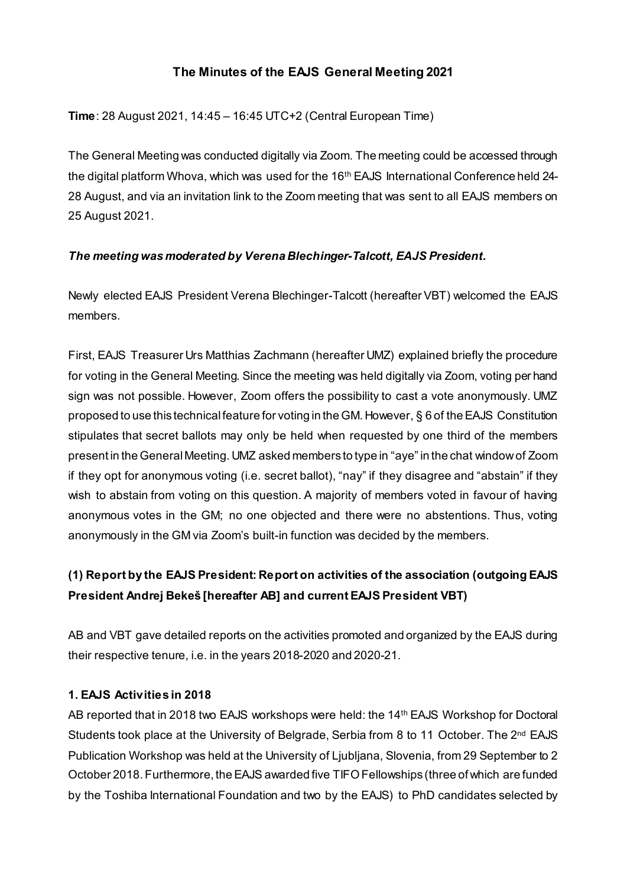## **The Minutes of the EAJS General Meeting 2021**

**Time**: 28 August 2021, 14:45 – 16:45 UTC+2 (Central European Time)

The General Meeting was conducted digitally via Zoom. The meeting could be accessed through the digital platform Whova, which was used for the 16<sup>th</sup> EAJS International Conference held 24-28 August, and via an invitation link to the Zoom meeting that was sent to all EAJS members on 25 August 2021.

### *The meeting was moderated by Verena Blechinger-Talcott, EAJS President.*

Newly elected EAJS President Verena Blechinger-Talcott (hereafter VBT) welcomed the EAJS members.

First, EAJS Treasurer Urs Matthias Zachmann (hereafter UMZ) explained briefly the procedure for voting in the General Meeting. Since the meeting was held digitally via Zoom, voting per hand sign was not possible. However, Zoom offers the possibility to cast a vote anonymously. UMZ proposed to use this technical feature for voting in the GM. However, § 6 of the EAJS Constitution stipulates that secret ballots may only be held when requested by one third of the members present in the General Meeting. UMZ asked members to type in "aye" in the chat window of Zoom if they opt for anonymous voting (i.e. secret ballot), "nay" if they disagree and "abstain" if they wish to abstain from voting on this question. A majority of members voted in favour of having anonymous votes in the GM; no one objected and there were no abstentions. Thus, voting anonymously in the GM via Zoom's built-in function was decided by the members.

# **(1) Report by the EAJS President: Report on activities of the association (outgoing EAJS President Andrej Bekeš [hereafter AB] and current EAJS President VBT)**

AB and VBT gave detailed reports on the activities promoted and organized by the EAJS during their respective tenure, i.e. in the years 2018-2020 and 2020-21.

#### **1. EAJS Activities in 2018**

AB reported that in 2018 two EAJS workshops were held: the 14th EAJS Workshop for Doctoral Students took place at the University of Belgrade, Serbia from 8 to 11 October. The 2<sup>nd</sup> EAJS Publication Workshop was held at the University of Ljubljana, Slovenia, from 29 September to 2 October 2018. Furthermore, the EAJS awarded five TIFO Fellowships (three of which are funded by the Toshiba International Foundation and two by the EAJS) to PhD candidates selected by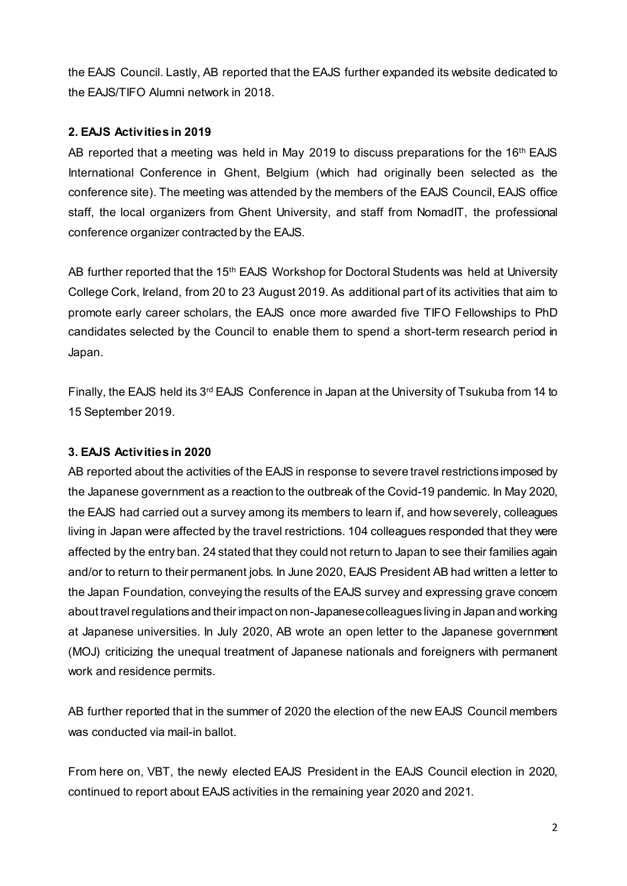the EAJS Council. Lastly, AB reported that the EAJS further expanded its website dedicated to the EAJS/TIFO Alumni network in 2018.

#### **2. EAJS Activities in 2019**

AB reported that a meeting was held in May 2019 to discuss preparations for the 16<sup>th</sup> EAJS International Conference in Ghent, Belgium (which had originally been selected as the conference site). The meeting was attended by the members of the EAJS Council, EAJS office staff, the local organizers from Ghent University, and staff from NomadIT, the professional conference organizer contracted by the EAJS.

AB further reported that the 15<sup>th</sup> EAJS Workshop for Doctoral Students was held at University College Cork, Ireland, from 20 to 23 August 2019. As additional part of its activities that aim to promote early career scholars, the EAJS once more awarded five TIFO Fellowships to PhD candidates selected by the Council to enable them to spend a short-term research period in Japan.

Finally, the EAJS held its 3<sup>rd</sup> EAJS Conference in Japan at the University of Tsukuba from 14 to 15 September 2019.

#### **3. EAJS Activities in 2020**

AB reported about the activities of the EAJS in response to severe travel restrictions imposed by the Japanese government as a reaction to the outbreak of the Covid-19 pandemic. In May 2020, the EAJS had carried out a survey among its members to learn if, and how severely, colleagues living in Japan were affected by the travel restrictions. 104 colleagues responded that they were affected by the entry ban. 24 stated that they could not return to Japan to see their families again and/or to return to their permanent jobs. In June 2020, EAJS President AB had written a letter to the Japan Foundation, conveying the results of the EAJS survey and expressing grave concern about travel regulations and their impact on non-Japanese colleagues living in Japan and working at Japanese universities. In July 2020, AB wrote an open letter to the Japanese government (MOJ) criticizing the unequal treatment of Japanese nationals and foreigners with permanent work and residence permits.

AB further reported that in the summer of 2020 the election of the new EAJS Council members was conducted via mail-in ballot.

From here on, VBT, the newly elected EAJS President in the EAJS Council election in 2020, continued to report about EAJS activities in the remaining year 2020 and 2021.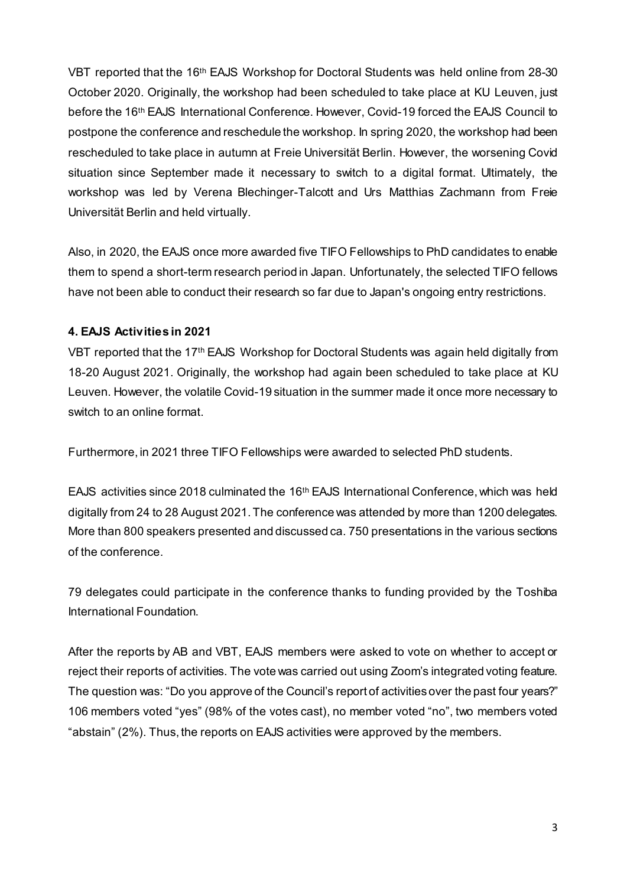VBT reported that the 16th EAJS Workshop for Doctoral Students was held online from 28-30 October 2020. Originally, the workshop had been scheduled to take place at KU Leuven, just before the 16th EAJS International Conference. However, Covid-19 forced the EAJS Council to postpone the conference and reschedule the workshop. In spring 2020, the workshop had been rescheduled to take place in autumn at Freie Universität Berlin. However, the worsening Covid situation since September made it necessary to switch to a digital format. Ultimately, the workshop was led by Verena Blechinger-Talcott and Urs Matthias Zachmann from Freie Universität Berlin and held virtually.

Also, in 2020, the EAJS once more awarded five TIFO Fellowships to PhD candidates to enable them to spend a short-term research period in Japan. Unfortunately, the selected TIFO fellows have not been able to conduct their research so far due to Japan's ongoing entry restrictions.

#### **4. EAJS Activities in 2021**

VBT reported that the 17th EAJS Workshop for Doctoral Students was again held digitally from 18-20 August 2021. Originally, the workshop had again been scheduled to take place at KU Leuven. However, the volatile Covid-19 situation in the summer made it once more necessary to switch to an online format.

Furthermore, in 2021 three TIFO Fellowships were awarded to selected PhD students.

EAJS activities since 2018 culminated the 16th EAJS International Conference, which was held digitally from 24 to 28 August 2021. The conference was attended by more than 1200 delegates. More than 800 speakers presented and discussed ca. 750 presentations in the various sections of the conference.

79 delegates could participate in the conference thanks to funding provided by the Toshiba International Foundation.

After the reports by AB and VBT, EAJS members were asked to vote on whether to accept or reject their reports of activities. The vote was carried out using Zoom's integrated voting feature. The question was: "Do you approve of the Council's report of activities over the past four years?" 106 members voted "yes" (98% of the votes cast), no member voted "no", two members voted "abstain" (2%). Thus, the reports on EAJS activities were approved by the members.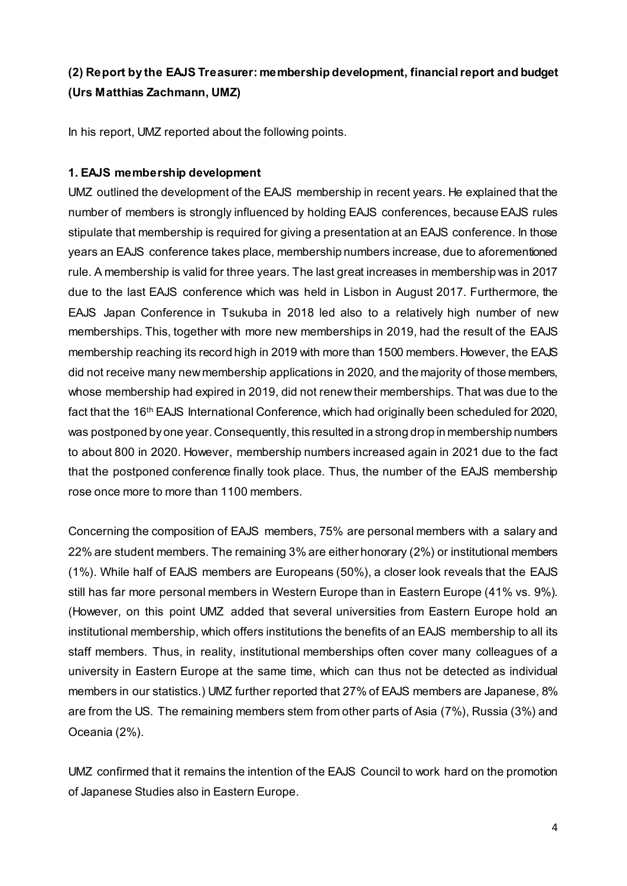## **(2) Report by the EAJS Treasurer: membership development, financial report and budget (Urs Matthias Zachmann, UMZ)**

In his report, UMZ reported about the following points.

#### **1. EAJS membership development**

UMZ outlined the development of the EAJS membership in recent years. He explained that the number of members is strongly influenced by holding EAJS conferences, because EAJS rules stipulate that membership is required for giving a presentation at an EAJS conference. In those years an EAJS conference takes place, membership numbers increase, due to aforementioned rule. A membership is valid for three years. The last great increases in membership was in 2017 due to the last EAJS conference which was held in Lisbon in August 2017. Furthermore, the EAJS Japan Conference in Tsukuba in 2018 led also to a relatively high number of new memberships. This, together with more new memberships in 2019, had the result of the EAJS membership reaching its record high in 2019 with more than 1500 members. However, the EAJS did not receive many new membership applications in 2020, and the majority of those members, whose membership had expired in 2019, did not renew their memberships. That was due to the fact that the 16<sup>th</sup> EAJS International Conference, which had originally been scheduled for 2020, was postponed by one year. Consequently, this resulted in a strong drop in membership numbers to about 800 in 2020. However, membership numbers increased again in 2021 due to the fact that the postponed conference finally took place. Thus, the number of the EAJS membership rose once more to more than 1100 members.

Concerning the composition of EAJS members, 75% are personal members with a salary and 22% are student members. The remaining 3% are either honorary (2%) or institutional members (1%). While half of EAJS members are Europeans (50%), a closer look reveals that the EAJS still has far more personal members in Western Europe than in Eastern Europe (41% vs. 9%). (However, on this point UMZ added that several universities from Eastern Europe hold an institutional membership, which offers institutions the benefits of an EAJS membership to all its staff members. Thus, in reality, institutional memberships often cover many colleagues of a university in Eastern Europe at the same time, which can thus not be detected as individual members in our statistics.) UMZ further reported that 27% of EAJS members are Japanese, 8% are from the US. The remaining members stem from other parts of Asia (7%), Russia (3%) and Oceania (2%).

UMZ confirmed that it remains the intention of the EAJS Council to work hard on the promotion of Japanese Studies also in Eastern Europe.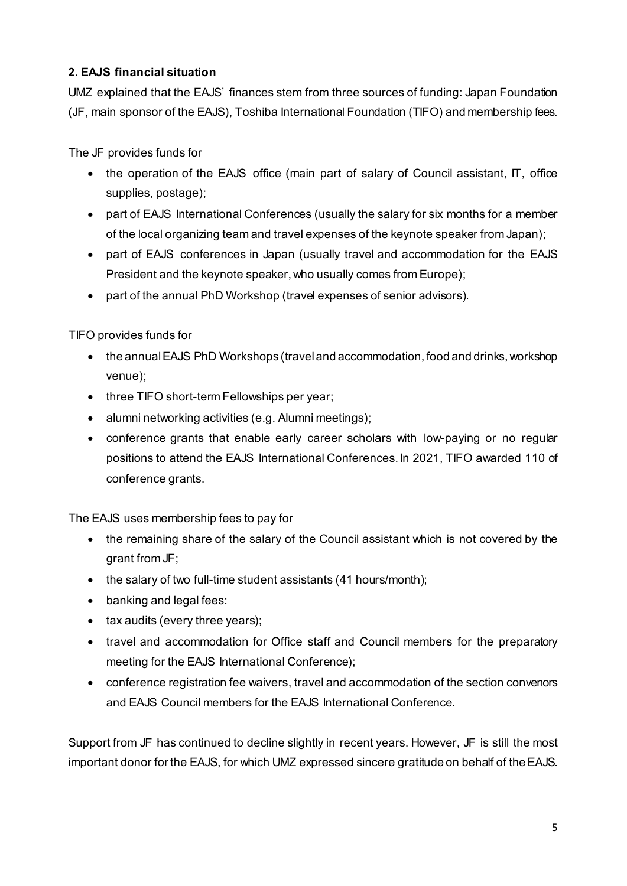## **2. EAJS financial situation**

UMZ explained that the EAJS' finances stem from three sources of funding: Japan Foundation (JF, main sponsor of the EAJS), Toshiba International Foundation (TIFO) and membership fees.

The JF provides funds for

- the operation of the EAJS office (main part of salary of Council assistant, IT, office supplies, postage);
- part of EAJS International Conferences (usually the salary for six months for a member of the local organizing team and travel expenses of the keynote speaker from Japan);
- part of EAJS conferences in Japan (usually travel and accommodation for the EAJS President and the keynote speaker, who usually comes from Europe);
- part of the annual PhD Workshop (travel expenses of senior advisors).

TIFO provides funds for

- the annual EAJS PhD Workshops (travel and accommodation, food and drinks, workshop venue);
- three TIFO short-term Fellowships per year;
- alumni networking activities (e.g. Alumni meetings);
- conference grants that enable early career scholars with low-paying or no regular positions to attend the EAJS International Conferences. In 2021, TIFO awarded 110 of conference grants.

The EAJS uses membership fees to pay for

- the remaining share of the salary of the Council assistant which is not covered by the grant from JF;
- the salary of two full-time student assistants (41 hours/month);
- banking and legal fees:
- tax audits (every three years);
- travel and accommodation for Office staff and Council members for the preparatory meeting for the EAJS International Conference);
- conference registration fee waivers, travel and accommodation of the section convenors and EAJS Council members for the EAJS International Conference.

Support from JF has continued to decline slightly in recent years. However, JF is still the most important donor for the EAJS, for which UMZ expressed sincere gratitude on behalf of the EAJS.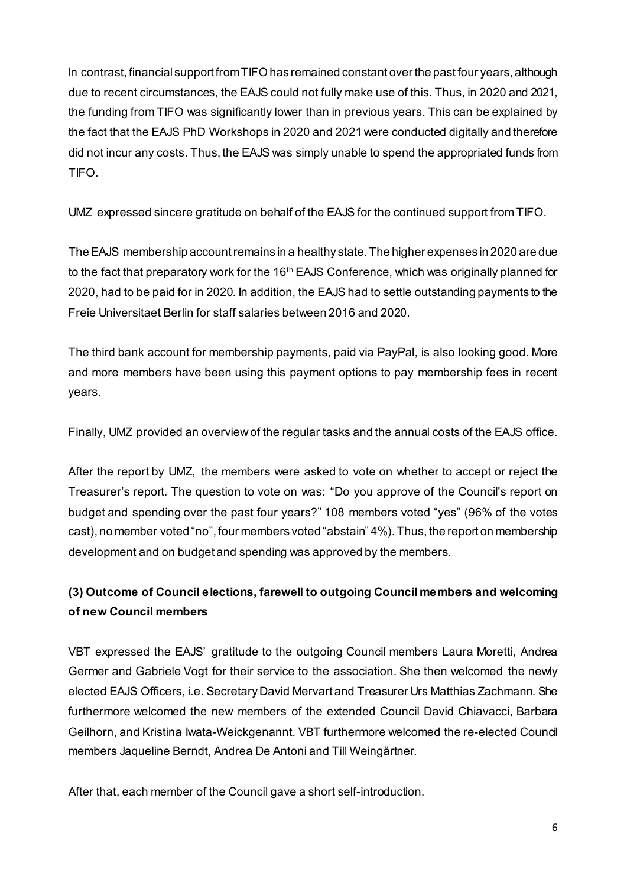In contrast, financial support fromTIFOhas remained constant over the past four years, although due to recent circumstances, the EAJS could not fully make use of this. Thus, in 2020 and 2021, the funding from TIFO was significantly lower than in previous years. This can be explained by the fact that the EAJS PhD Workshops in 2020 and 2021 were conducted digitally and therefore did not incur any costs. Thus, the EAJS was simply unable to spend the appropriated funds from TIFO.

UMZ expressed sincere gratitude on behalf of the EAJS for the continued support from TIFO.

The EAJS membership account remains in a healthy state.The higher expenses in 2020 are due to the fact that preparatory work for the 16<sup>th</sup> EAJS Conference, which was originally planned for 2020, had to be paid for in 2020. In addition, the EAJS had to settle outstanding payments to the Freie Universitaet Berlin for staff salaries between 2016 and 2020.

The third bank account for membership payments, paid via PayPal, is also looking good. More and more members have been using this payment options to pay membership fees in recent years.

Finally, UMZ provided an overview of the regular tasks and the annual costs of the EAJS office.

After the report by UMZ, the members were asked to vote on whether to accept or reject the Treasurer's report. The question to vote on was: "Do you approve of the Council's report on budget and spending over the past four years?" 108 members voted "yes" (96% of the votes cast), no member voted "no", four members voted "abstain" 4%). Thus, the report on membership development and on budget and spending was approved by the members.

## **(3) Outcome of Council elections, farewell to outgoing Council members and welcoming of new Council members**

VBT expressed the EAJS' gratitude to the outgoing Council members Laura Moretti, Andrea Germer and Gabriele Vogt for their service to the association. She then welcomed the newly elected EAJS Officers, i.e. Secretary David Mervart and Treasurer Urs Matthias Zachmann. She furthermore welcomed the new members of the extended Council David Chiavacci, Barbara Geilhorn, and Kristina Iwata-Weickgenannt. VBT furthermore welcomed the re-elected Council members Jaqueline Berndt, Andrea De Antoni and Till Weingärtner.

After that, each member of the Council gave a short self-introduction.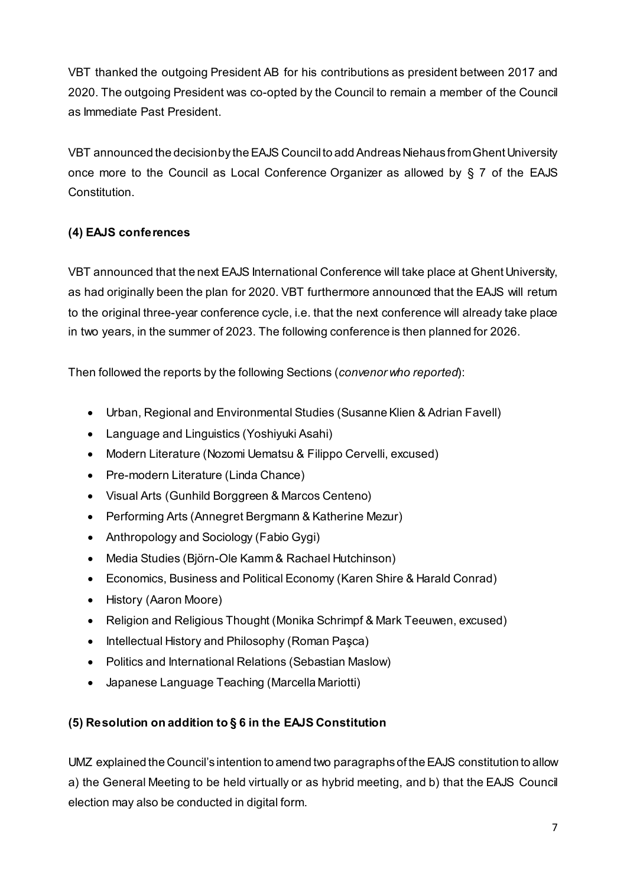VBT thanked the outgoing President AB for his contributions as president between 2017 and 2020. The outgoing President was co-opted by the Council to remain a member of the Council as Immediate Past President.

VBT announced the decision by the EAJS Council to add Andreas Niehaus from Ghent University once more to the Council as Local Conference Organizer as allowed by § 7 of the EAJS Constitution.

### **(4) EAJS conferences**

VBT announced that the next EAJS International Conference will take place at Ghent University, as had originally been the plan for 2020. VBT furthermore announced that the EAJS will return to the original three-year conference cycle, i.e. that the next conference will already take place in two years, in the summer of 2023. The following conference is then planned for 2026.

Then followed the reports by the following Sections (*convenor who reported*):

- Urban, Regional and Environmental Studies (Susanne Klien & Adrian Favell)
- Language and Linguistics (Yoshiyuki Asahi)
- Modern Literature (Nozomi Uematsu & Filippo Cervelli, excused)
- Pre-modern Literature (Linda Chance)
- Visual Arts (Gunhild Borggreen & Marcos Centeno)
- Performing Arts (Annegret Bergmann & Katherine Mezur)
- Anthropology and Sociology (Fabio Gygi)
- Media Studies (Björn-Ole Kamm & Rachael Hutchinson)
- Economics, Business and Political Economy (Karen Shire & Harald Conrad)
- History (Aaron Moore)
- Religion and Religious Thought (Monika Schrimpf & Mark Teeuwen, excused)
- Intellectual History and Philosophy (Roman Paşca)
- Politics and International Relations (Sebastian Maslow)
- Japanese Language Teaching (Marcella Mariotti)

## **(5) Resolution on addition to § 6 in the EAJS Constitution**

UMZ explained the Council's intention to amend two paragraphs of the EAJS constitution to allow a) the General Meeting to be held virtually or as hybrid meeting, and b) that the EAJS Council election may also be conducted in digital form.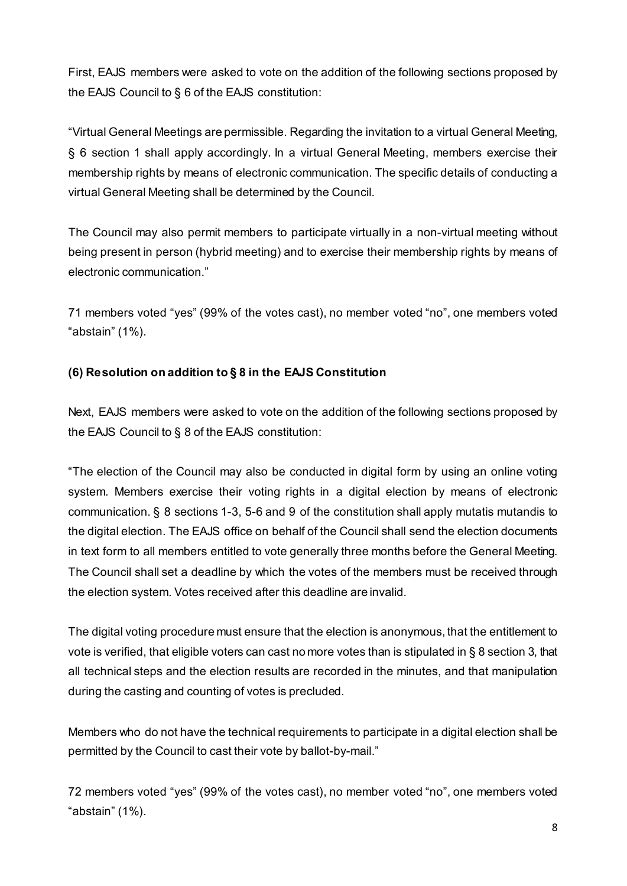First, EAJS members were asked to vote on the addition of the following sections proposed by the EAJS Council to § 6 of the EAJS constitution:

"Virtual General Meetings are permissible. Regarding the invitation to a virtual General Meeting, § 6 section 1 shall apply accordingly. In a virtual General Meeting, members exercise their membership rights by means of electronic communication. The specific details of conducting a virtual General Meeting shall be determined by the Council.

The Council may also permit members to participate virtually in a non-virtual meeting without being present in person (hybrid meeting) and to exercise their membership rights by means of electronic communication."

71 members voted "yes" (99% of the votes cast), no member voted "no", one members voted "abstain" (1%).

### **(6) Resolution on addition to § 8 in the EAJS Constitution**

Next, EAJS members were asked to vote on the addition of the following sections proposed by the EAJS Council to § 8 of the EAJS constitution:

"The election of the Council may also be conducted in digital form by using an online voting system. Members exercise their voting rights in a digital election by means of electronic communication. § 8 sections 1-3, 5-6 and 9 of the constitution shall apply mutatis mutandis to the digital election. The EAJS office on behalf of the Council shall send the election documents in text form to all members entitled to vote generally three months before the General Meeting. The Council shall set a deadline by which the votes of the members must be received through the election system. Votes received after this deadline are invalid.

The digital voting procedure must ensure that the election is anonymous, that the entitlement to vote is verified, that eligible voters can cast no more votes than is stipulated in § 8 section 3, that all technical steps and the election results are recorded in the minutes, and that manipulation during the casting and counting of votes is precluded.

Members who do not have the technical requirements to participate in a digital election shall be permitted by the Council to cast their vote by ballot-by-mail."

72 members voted "yes" (99% of the votes cast), no member voted "no", one members voted "abstain" (1%).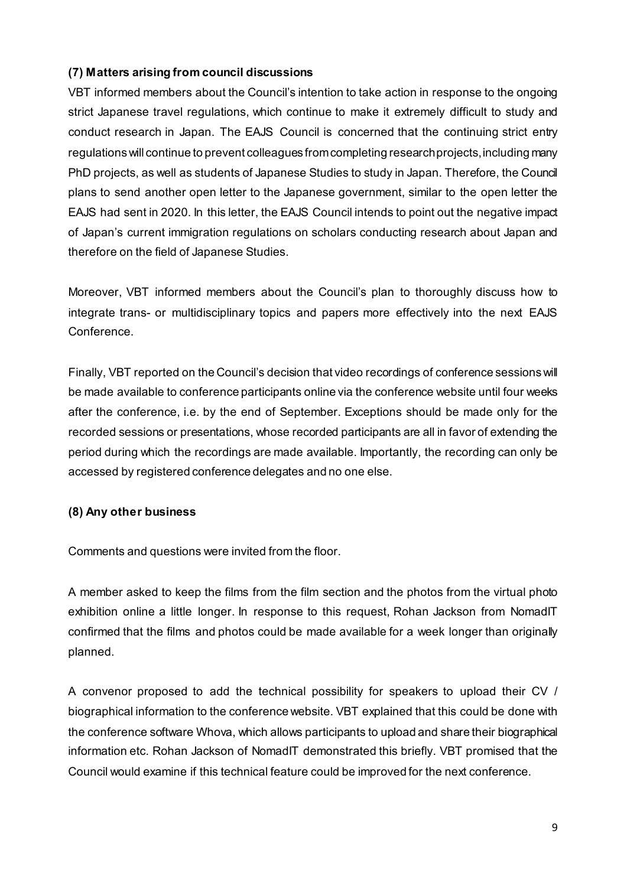#### **(7) Matters arising from council discussions**

VBT informed members about the Council's intention to take action in response to the ongoing strict Japanese travel regulations, which continue to make it extremely difficult to study and conduct research in Japan. The EAJS Council is concerned that the continuing strict entry regulations will continue to prevent colleagues from completing research projects, including many PhD projects, as well as students of Japanese Studies to study in Japan. Therefore, the Council plans to send another open letter to the Japanese government, similar to the open letter the EAJS had sent in 2020. In this letter, the EAJS Council intends to point out the negative impact of Japan's current immigration regulations on scholars conducting research about Japan and therefore on the field of Japanese Studies.

Moreover, VBT informed members about the Council's plan to thoroughly discuss how to integrate trans- or multidisciplinary topics and papers more effectively into the next EAJS Conference.

Finally, VBT reported on the Council's decision that video recordings of conference sessions will be made available to conference participants online via the conference website until four weeks after the conference, i.e. by the end of September. Exceptions should be made only for the recorded sessions or presentations, whose recorded participants are all in favor of extending the period during which the recordings are made available. Importantly, the recording can only be accessed by registered conference delegates and no one else.

#### **(8) Any other business**

Comments and questions were invited from the floor.

A member asked to keep the films from the film section and the photos from the virtual photo exhibition online a little longer. In response to this request, Rohan Jackson from NomadIT confirmed that the films and photos could be made available for a week longer than originally planned.

A convenor proposed to add the technical possibility for speakers to upload their CV / biographical information to the conference website. VBT explained that this could be done with the conference software Whova, which allows participants to upload and share their biographical information etc. Rohan Jackson of NomadIT demonstrated this briefly. VBT promised that the Council would examine if this technical feature could be improved for the next conference.